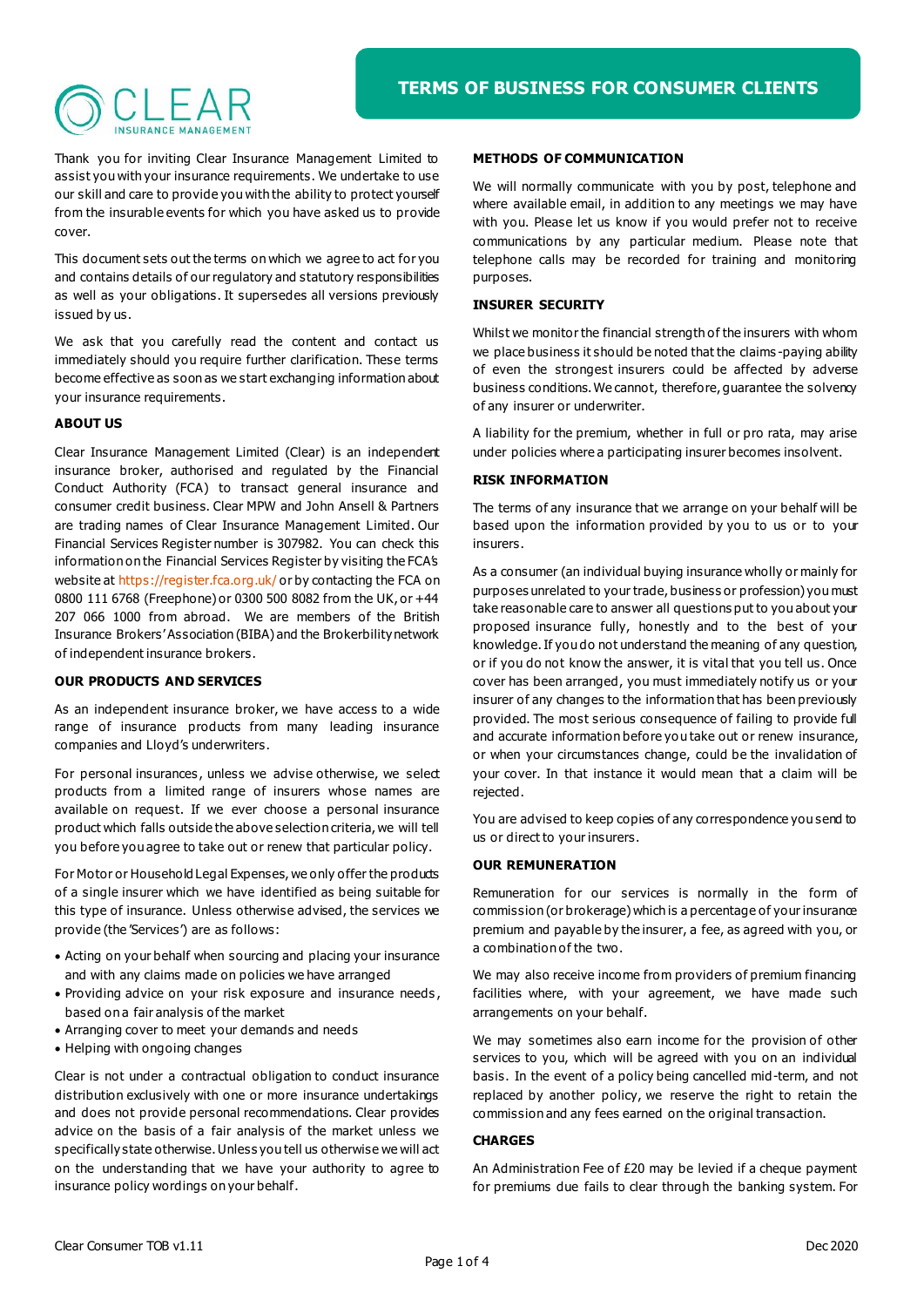Thank you for inviting Clear Insurance Management Limited to assist you with your insurance requirements. We undertake to use our skill and care to provide you with the ability to protect yourself from the insurable events for which you have asked us to provide cover.

This document sets out the terms on which we agree to act for you and contains details of our regulatory and statutory responsibilities as well as your obligations. It supersedes all versions previously issued by us.

We ask that you carefully read the content and contact us immediately should you require further clarification. These terms become effective as soon as we start exchanging information about your insurance requirements.

# **ABOUT US**

Clear Insurance Management Limited (Clear) is an independent insurance broker, authorised and regulated by the Financial Conduct Authority (FCA) to transact general insurance and consumer credit business. Clear MPW and John Ansell & Partners are trading names of Clear Insurance Management Limited. Our Financial Services Register number is 307982. You can check this information on the Financial Services Register by visiting the FCA's website at<https://register.fca.org.uk/> or by contacting the FCA on 0800 111 6768 (Freephone) or 0300 500 8082 from the UK, or +44 207 066 1000 from abroad. We are members of the British Insurance Brokers' Association (BIBA) and the Brokerbility network of independent insurance brokers.

### **OUR PRODUCTS AND SERVICES**

As an independent insurance broker, we have access to a wide range of insurance products from many leading insurance companies and Lloyd's underwriters.

For personal insurances, unless we advise otherwise, we select products from a limited range of insurers whose names are available on request. If we ever choose a personal insurance product which falls outside the above selection criteria, we will tell you before you agree to take out or renew that particular policy.

For Motor or Household Legal Expenses, we only offer the products of a single insurer which we have identified as being suitable for this type of insurance. Unless otherwise advised, the services we provide (the 'Services') are as follows:

- Acting on your behalf when sourcing and placing your insurance and with any claims made on policies we have arranged
- Providing advice on your risk exposure and insurance needs , based on a fair analysis of the market
- Arranging cover to meet your demands and needs
- Helping with ongoing changes

Clear is not under a contractual obligation to conduct insurance distribution exclusively with one or more insurance undertakings and does not provide personal recommendations. Clear provides advice on the basis of a fair analysis of the market unless we specifically state otherwise. Unless you tell us otherwise we will act on the understanding that we have your authority to agree to insurance policy wordings on your behalf.

## **METHODS OF COMMUNICATION**

We will normally communicate with you by post, telephone and where available email, in addition to any meetings we may have with you. Please let us know if you would prefer not to receive communications by any particular medium. Please note that telephone calls may be recorded for training and monitoring purposes.

### **INSURER SECURITY**

Whilst we monitor the financial strength of the insurers with whom we place business it should be noted that the claims -paying ability of even the strongest insurers could be affected by adverse business conditions. We cannot, therefore, guarantee the solvency of any insurer or underwriter.

A liability for the premium, whether in full or pro rata, may arise under policies where a participating insurer becomes insolvent.

### **RISK INFORMATION**

The terms of any insurance that we arrange on your behalf will be based upon the information provided by you to us or to your insurers.

As a consumer (an individual buying insurance wholly or mainly for purposes unrelated to your trade, business or profession) you must take reasonable care to answer all questions put to you about your proposed insurance fully, honestly and to the best of your knowledge. If you do not understand the meaning of any question, or if you do not know the answer, it is vital that you tell us. Once cover has been arranged, you must immediately notify us or your insurer of any changes to the information that has been previously provided. The most serious consequence of failing to provide full and accurate information before yo u take out or renew insurance, or when your circumstances change, could be the invalidation of your cover. In that instance it would mean that a claim will be rejected.

You are advised to keep copies of any correspondence you send to us or direct to your insurers.

### **OUR REMUNERATION**

Remuneration for our services is normally in the form of commission (or brokerage) which is a percentage of your insurance premium and payable by the insurer, a fee, as agreed with you, or a combination of the two.

We may also receive income from providers of premium financing facilities where, with your agreement, we have made such arrangements on your behalf.

We may sometimes also earn income for the provision of other services to you, which will be agreed with you on an individual basis. In the event of a policy being cancelled mid-term, and not replaced by another policy, we reserve the right to retain the commission and any fees earned on the original transaction.

#### **CHARGES**

An Administration Fee of £20 may be levied if a cheque payment for premiums due fails to clear through the banking system. For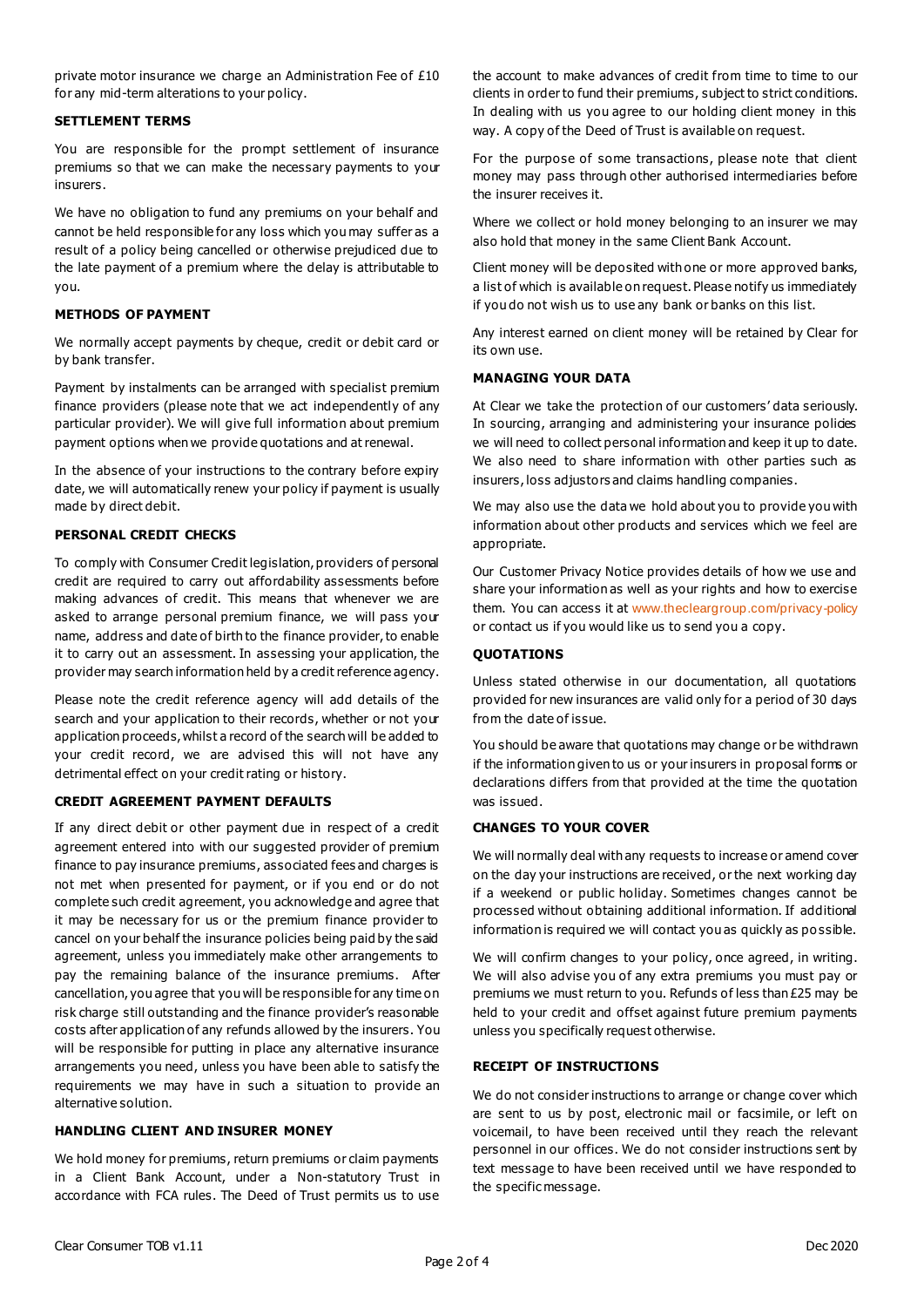private motor insurance we charge an Administration Fee of £10 for any mid-term alterations to your policy.

#### **SETTLEMENT TERMS**

You are responsible for the prompt settlement of insurance premiums so that we can make the necessary payments to your insurers.

We have no obligation to fund any premiums on your behalf and cannot be held responsible for any loss which you may suffer as a result of a policy being cancelled or otherwise prejudiced due to the late payment of a premium where the delay is attributable to you.

#### **METHODS OF PAYMENT**

We normally accept payments by cheque, credit or debit card or by bank transfer.

Payment by instalments can be arranged with specialist premium finance providers (please note that we act independently of any particular provider). We will give full information about premium payment options when we provide quotations and at renewal.

In the absence of your instructions to the contrary before expiry date, we will automatically renew your policy if payment is usually made by direct debit.

# **PERSONAL CREDIT CHECKS**

To comply with Consumer Credit legislation, providers of personal credit are required to carry out affordability assessments before making advances of credit. This means that whenever we are asked to arrange personal premium finance, we will pass your name, address and date of birth to the finance provider, to enable it to carry out an assessment. In assessing your application, the provider may search information held by a credit reference agency.

Please note the credit reference agency will add details of the search and your application to their records, whether or not your application proceeds, whilst a record of the search will be added to your credit record, we are advised this will not have any detrimental effect on your credit rating or history.

#### **CREDIT AGREEMENT PAYMENT DEFAULTS**

If any direct debit or other payment due in respect of a credit agreement entered into with our suggested provider of premium finance to pay insurance premiums, associated fees and charges is not met when presented for payment, or if you end or do not complete such credit agreement, you acknowledge and agree that it may be necessary for us or the premium finance provider to cancel on your behalf the insurance policies being paid by the said agreement, unless you immediately make other arrangements to pay the remaining balance of the insurance premiums. After cancellation, you agree that you will be responsible for any time on risk charge still outstanding and the finance provider's reasonable costs after application of any refunds allowed by the insurers. You will be responsible for putting in place any alternative insurance arrangements you need, unless you have been able to satisfy the requirements we may have in such a situation to provide an alternative solution.

### **HANDLING CLIENT AND INSURER MONEY**

We hold money for premiums, return premiums or claim payments in a Client Bank Account, under a Non-statutory Trust in accordance with FCA rules. The Deed of Trust permits us to use the account to make advances of credit from time to time to our clients in order to fund their premiums, subject to strict conditions. In dealing with us you agree to our holding client money in this way. A copy of the Deed of Trust is available on request.

For the purpose of some transactions, please note that client money may pass through other authorised intermediaries before the insurer receives it.

Where we collect or hold money belonging to an insurer we may also hold that money in the same Client Bank Account.

Client money will be deposited with one or more approved banks, a list of which is available on request. Please notify us immediately if you do not wish us to use any bank or banks on this list.

Any interest earned on client money will be retained by Clear for its own use.

#### **MANAGING YOUR DATA**

At Clear we take the protection of our customers' data seriously. In sourcing, arranging and administering your insurance policies we will need to collect personal information and keep it up to date. We also need to share information with other parties such as insurers, loss adjustors and claims handling companies.

We may also use the data we hold about you to provide you with information about other products and services which we feel are appropriate.

Our Customer Privacy Notice provides details of how we use and share your information as well as your rights and how to exercise them. You can access it at [www.thecleargroup.com/privacy-policy](http://www.thecleargroup.com/privacy-policy) or contact us if you would like us to send you a copy.

### **QUOTATIONS**

Unless stated otherwise in our documentation, all quotations provided for new insurances are valid only for a period of 30 days from the date of issue.

You should be aware that quotations may change or be withdrawn if the information given to us or your insurers in proposal forms or declarations differs from that provided at the time the quotation was issued.

## **CHANGES TO YOUR COVER**

We will normally deal with any requests to increase or amend cover on the day your instructions are received, or the next working day if a weekend or public holiday. Sometimes changes cannot be processed without obtaining additional information. If additional information is required we will contact you as quickly as po ssible.

We will confirm changes to your policy, once agreed, in writing. We will also advise you of any extra premiums you must pay or premiums we must return to you. Refunds of less than £25 may be held to your credit and offset against future premium payments unless you specifically request otherwise.

#### **RECEIPT OF INSTRUCTIONS**

We do not consider instructions to arrange or change cover which are sent to us by post, electronic mail or facsimile, or left on voicemail, to have been received until they reach the relevant personnel in our offices. We do not consider instructions sent by text message to have been received until we have responded to the specific message.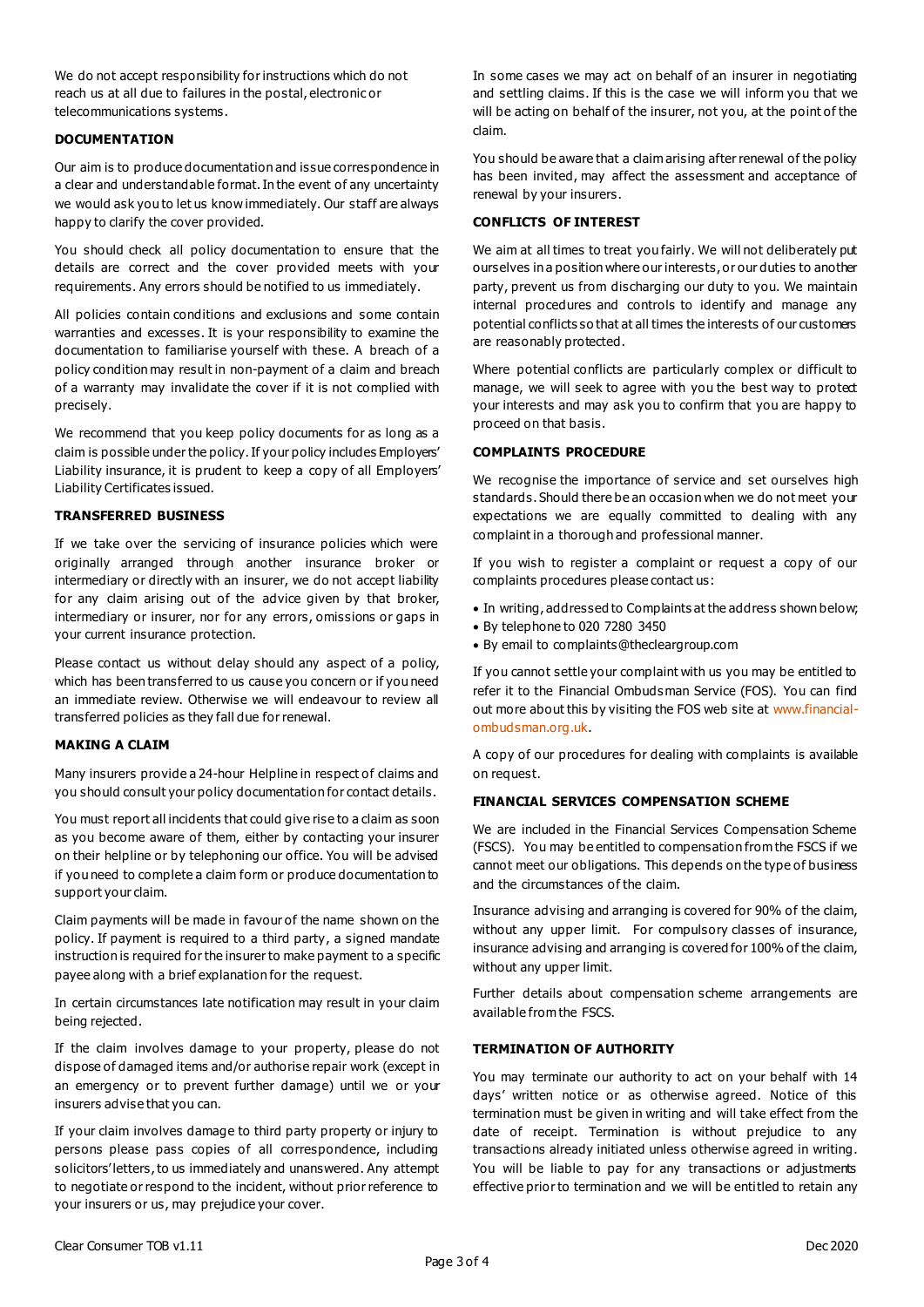We do not accept responsibility for instructions which do not reach us at all due to failures in the postal, electronic or telecommunications systems.

## **DOCUMENTATION**

Our aim is to produce documentation and issue correspondence in a clear and understandable format. In the event of any uncertainty we would ask you to let us know immediately. Our staff are always happy to clarify the cover provided.

You should check all policy documentation to ensure that the details are correct and the cover provided meets with your requirements. Any errors should be notified to us immediately.

All policies contain conditions and exclusions and some contain warranties and excesses. It is your responsibility to examine the documentation to familiarise yourself with these. A breach of a policy condition may result in non-payment of a claim and breach of a warranty may invalidate the cover if it is not complied with precisely.

We recommend that you keep policy documents for as long as a claim is possible under the policy. If your policy includes Employers' Liability insurance, it is prudent to keep a copy of all Employers' Liability Certificates issued.

# **TRANSFERRED BUSINESS**

If we take over the servicing of insurance policies which were originally arranged through another insurance broker or intermediary or directly with an insurer, we do not accept liability for any claim arising out of the advice given by that broker, intermediary or insurer, nor for any errors, omissions or gaps in your current insurance protection.

Please contact us without delay should any aspect of a policy, which has been transferred to us cause you concern or if you need an immediate review. Otherwise we will endeavour to review all transferred policies as they fall due for renewal.

### **MAKING A CLAIM**

Many insurers provide a 24-hour Helpline in respect of claims and you should consult your policy documentation for contact details.

You must report all incidents that could give rise to a claim as soon as you become aware of them, either by contacting your insurer on their helpline or by telephoning our office. You will be advised if you need to complete a claim form or produce documentation to support your claim.

Claim payments will be made in favour of the name shown on the policy. If payment is required to a third party, a signed mandate instruction is required for the insurer to make payment to a specific payee along with a brief explanation for the request.

In certain circumstances late notification may result in your claim being rejected.

If the claim involves damage to your property, please do not dispose of damaged items and/or authorise repair work (except in an emergency or to prevent further damage) until we or your insurers advise that you can.

If your claim involves damage to third party property or injury to persons please pass copies of all correspondence, including solicitors' letters, to us immediately and unanswered. Any attempt to negotiate or respond to the incident, without prior reference to your insurers or us, may prejudice your cover.

In some cases we may act on behalf of an insurer in negotiating and settling claims. If this is the case we will inform you that we will be acting on behalf of the insurer, not you, at the point of the claim.

You should be aware that a claim arising after renewal of the policy has been invited, may affect the assessment and acceptance of renewal by your insurers.

### **CONFLICTS OF INTEREST**

We aim at all times to treat you fairly. We will not deliberately put ourselves in a position where our interests, or our duties to another party, prevent us from discharging our duty to you. We maintain internal procedures and controls to identify and manage any potential conflicts so that at all times the interests of our customers are reasonably protected.

Where potential conflicts are particularly complex or difficult to manage, we will seek to agree with you the best way to protect your interests and may ask you to confirm that you are happy to proceed on that basis.

### **COMPLAINTS PROCEDURE**

We recognise the importance of service and set ourselves high standards. Should there be an occasion when we do not meet your expectations we are equally committed to dealing with any complaint in a thorough and professional manner.

If you wish to register a complaint or request a copy of our complaints procedures please contact us:

- In writing, addressed to Complaints at the address shown below;
- By telephone to 020 7280 3450
- By email to complaints@thecleargroup.com

If you cannot settle your complaint with us you may be entitled to refer it to the Financial Ombuds man Service (FOS). You can find out more about this by visiting the FOS web site a[t www.financial](http://www.financial-ombudsman.org.uk/)[ombudsman.org.uk.](http://www.financial-ombudsman.org.uk/)

A copy of our procedures for dealing with complaints is available on request.

### **FINANCIAL SERVICES COMPENSATION SCHEME**

We are included in the Financial Services Compensation Scheme (FSCS). You may be entitled to compensation from the FSCS if we cannot meet our obligations. This depends on the type of business and the circumstances of the claim.

Insurance advising and arranging is covered for 90% of the claim, without any upper limit. For compulsory classes of insurance, insurance advising and arranging is covered for 100% of the claim, without any upper limit.

Further details about compensation scheme arrangements are available from the FSCS.

### **TERMINATION OF AUTHORITY**

You may terminate our authority to act on your behalf with 14 days' written notice or as otherwise agreed. Notice of this termination must be given in writing and will take effect from the date of receipt. Termination is without prejudice to any transactions already initiated unless otherwise agreed in writing. You will be liable to pay for any transactions or adjustments effective prior to termination and we will be entitled to retain any